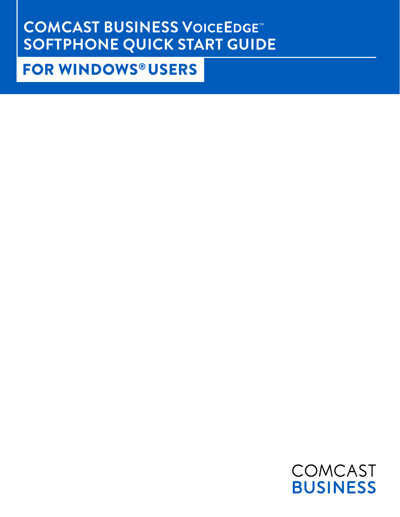# **COMCAST BUSINESS VOICEEDGE**™ **SOFTPHONE QUICK START GUIDE**

## FOR WINDOWS® USERS

COMCAST **BUSINESS**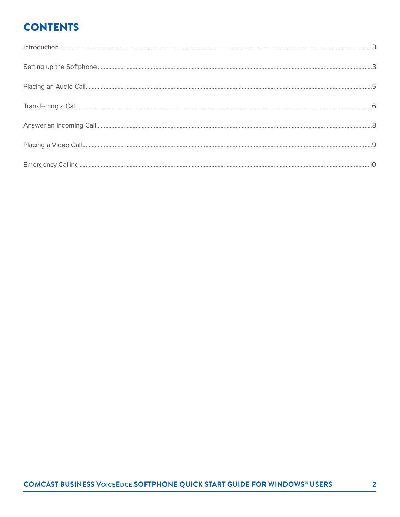## **CONTENTS**

| $\int_0^{\pi} \frac{1}{2} \int_0^{\pi} \frac{1}{2} \int_0^{\pi} \frac{1}{2} \int_0^{\pi} \frac{1}{2} \int_0^{\pi} \frac{1}{2} \int_0^{\pi} \frac{1}{2} \int_0^{\pi} \frac{1}{2} \int_0^{\pi} \frac{1}{2} \int_0^{\pi} \frac{1}{2} \int_0^{\pi} \frac{1}{2} \int_0^{\pi} \frac{1}{2} \int_0^{\pi} \frac{1}{2} \int_0^{\pi} \frac{1}{2} \int_0^{\pi} \frac{1}{2} \int_0^{\pi} \frac$ |  |
|------------------------------------------------------------------------------------------------------------------------------------------------------------------------------------------------------------------------------------------------------------------------------------------------------------------------------------------------------------------------------------|--|
|                                                                                                                                                                                                                                                                                                                                                                                    |  |
|                                                                                                                                                                                                                                                                                                                                                                                    |  |
|                                                                                                                                                                                                                                                                                                                                                                                    |  |
|                                                                                                                                                                                                                                                                                                                                                                                    |  |
|                                                                                                                                                                                                                                                                                                                                                                                    |  |
|                                                                                                                                                                                                                                                                                                                                                                                    |  |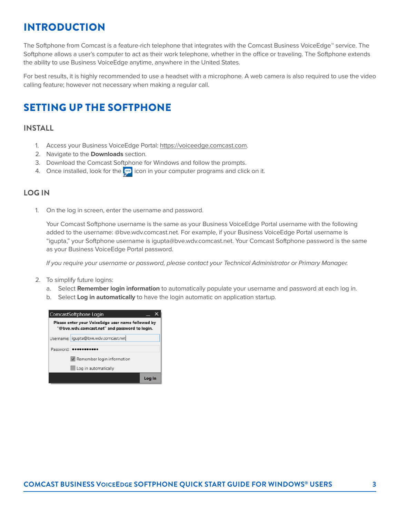### INTRODUCTION

The Softphone from Comcast is a feature-rich telephone that integrates with the Comcast Business VoiceEdge™ service. The Softphone allows a user's computer to act as their work telephone, whether in the office or traveling. The Softphone extends the ability to use Business VoiceEdge anytime, anywhere in the United States.

For best results, it is highly recommended to use a headset with a microphone. A web camera is also required to use the video calling feature; however not necessary when making a regular call.

### SETTING UP THE SOFTPHONE

#### **INSTALL**

- 1. Access your Business VoiceEdge Portal: https://voiceedge.comcast.com.
- 2. Navigate to the **Downloads** section.
- 3. Download the Comcast Softphone for Windows and follow the prompts.
- 4. Once installed, look for the  $\Box$  icon in your computer programs and click on it.

#### **LOG IN**

1. On the log in screen, enter the username and password.

 Your Comcast Softphone username is the same as your Business VoiceEdge Portal username with the following added to the username: @bve.wdv.comcast.net. For example, if your Business VoiceEdge Portal username is "igupta," your Softphone username is igupta@bve.wdv.comcast.net. Your Comcast Softphone password is the same as your Business VoiceEdge Portal password.

If you require your username or password, please contact your Technical Administrator or Primary Manager.

- 2. To simplify future logins:
	- a. Select **Remember login information** to automatically populate your username and password at each log in.
	- b. Select **Log in automatically** to have the login automatic on application startup.

|                 | ComcastSoftphone Login                                                                             |  |
|-----------------|----------------------------------------------------------------------------------------------------|--|
|                 | Please enter your VoiceEdge user name followed by<br>"@bve.wdv.comcast.net" and password to login. |  |
|                 | Username: igupta@bve.wdv.comcast.net                                                               |  |
| Password: 00004 |                                                                                                    |  |
|                 | V Remember login information                                                                       |  |
|                 | Log in automatically                                                                               |  |
|                 |                                                                                                    |  |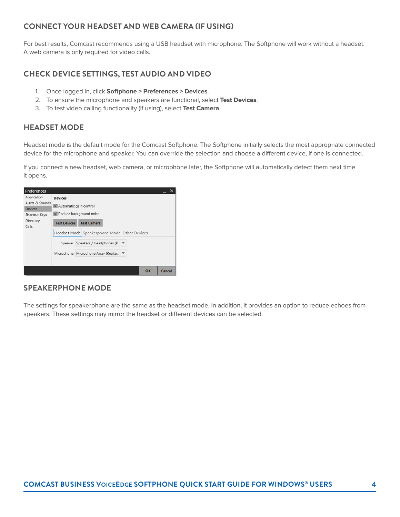### **CONNECT YOUR HEADSET AND WEB CAMERA (IF USING)**

For best results, Comcast recommends using a USB headset with microphone. The Softphone will work without a headset. A web camera is only required for video calls.

### **CHECK DEVICE SETTINGS, TEST AUDIO AND VIDEO**

- 1. Once logged in, click **Softphone > Preferences > Devices**.
- 2. To ensure the microphone and speakers are functional, select **Test Devices**.
- 3. To test video calling functionality (if using), select **Test Camera**.

### **HEADSET MODE**

Headset mode is the default mode for the Comcast Softphone. The Softphone initially selects the most appropriate connected device for the microphone and speaker. You can override the selection and choose a different device, if one is connected.

If you connect a new headset, web camera, or microphone later, the Softphone will automatically detect them next time it opens.

| Preferences                    |                                                                                           |
|--------------------------------|-------------------------------------------------------------------------------------------|
| Application<br>Alerts & Sounds | <b>Devices</b><br>V Automatic gain control<br>V Reduce background noise                   |
| <b>Devices</b>                 |                                                                                           |
| Shortcut Keys                  |                                                                                           |
| Directory<br>Calls             | <b>Test Devices</b><br><b>Test Camera</b><br>Headset Mode Speakerphone Mode Other Devices |
|                                | Speaker: Speakers / Headphones (R ▼<br>Microphone: Microphone Array (Realte ▼             |
|                                | OK<br>Cancel                                                                              |

#### **SPEAKERPHONE MODE**

The settings for speakerphone are the same as the headset mode. In addition, it provides an option to reduce echoes from speakers. These settings may mirror the headset or different devices can be selected.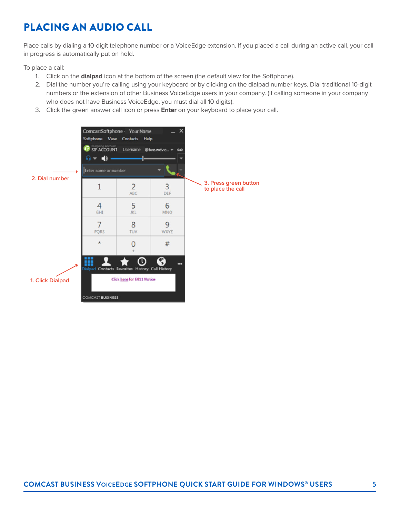## PLACING AN AUDIO CALL

Place calls by dialing a 10-digit telephone number or a VoiceEdge extension. If you placed a call during an active call, your call in progress is automatically put on hold.

To place a call:

- 1. Click on the **dialpad** icon at the bottom of the screen (the default view for the Softphone).
- 2. Dial the number you're calling using your keyboard or by clicking on the dialpad number keys. Dial traditional 10-digit numbers or the extension of other Business VoiceEdge users in your company. (If calling someone in your company who does not have Business VoiceEdge, you must dial all 10 digits).
- 3. Click the green answer call icon or press **Enter** on your keyboard to place your call.

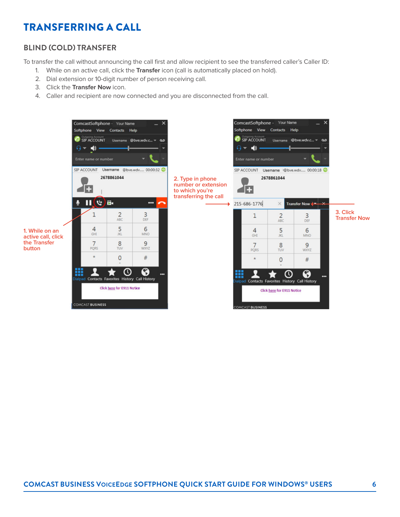### TRANSFERRING A CALL

### **BLIND (COLD) TRANSFER**

To transfer the call without announcing the call first and allow recipient to see the transferred caller's Caller ID:

- 1. While on an active call, click the **Transfer** icon (call is automatically placed on hold).
- 2. Dial extension or 10-digit number of person receiving call.
- 3. Click the **Transfer Now** icon.
- 4. Caller and recipient are now connected and you are disconnected from the call.

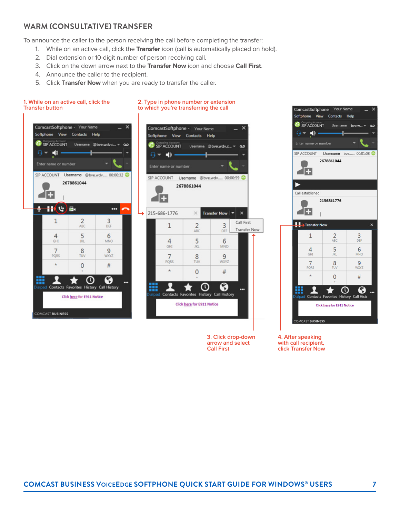#### **WARM (CONSULTATIVE) TRANSFER**

To announce the caller to the person receiving the call before completing the transfer:

- 1. While on an active call, click the **Transfer** icon (call is automatically placed on hold).
- 2. Dial extension or 10-digit number of person receiving call.
- 3. Click on the down arrow next to the **Transfer Now** icon and choose **Call First**.
- 4. Announce the caller to the recipient.
- 5. Click T**ransfer Now** when you are ready to transfer the caller.



**3. Click drop-down arrow and select Call First**



**4. After speaking with call recipient, click Transfer Now**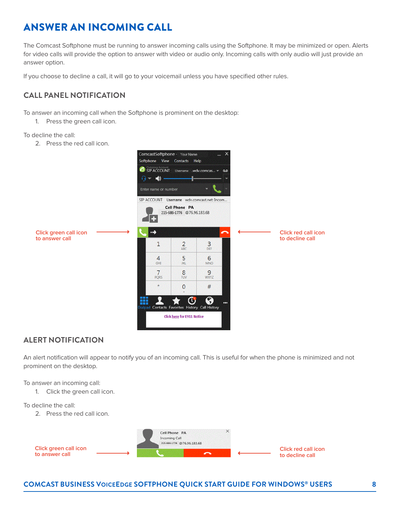### ANSWER AN INCOMING CALL

The Comcast Softphone must be running to answer incoming calls using the Softphone. It may be minimized or open. Alerts for video calls will provide the option to answer with video or audio only. Incoming calls with only audio will just provide an answer option.

If you choose to decline a call, it will go to your voicemail unless you have specified other rules.

### **CALL PANEL NOTIFICATION**

To answer an incoming call when the Softphone is prominent on the desktop:

1. Press the green call icon.

To decline the call:

2. Press the red call icon.



#### **ALERT NOTIFICATION**

An alert notification will appear to notify you of an incoming call. This is useful for when the phone is minimized and not prominent on the desktop.

To answer an incoming call:

1. Click the green call icon.

#### To decline the call:

2. Press the red call icon.



#### **COMCAST BUSINESS VOICEEDGE SOFTPHONE QUICK START GUIDE FOR WINDOWS® USERS 8**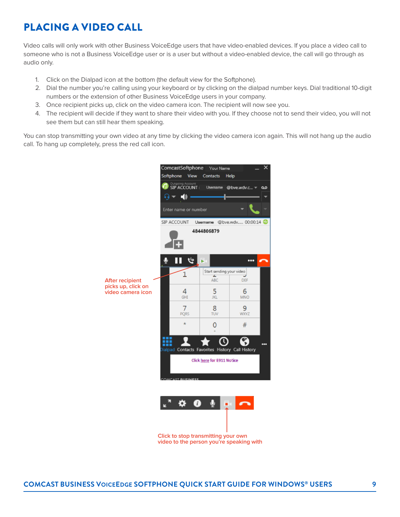### PLACING A VIDEO CALL

Video calls will only work with other Business VoiceEdge users that have video-enabled devices. If you place a video call to someone who is not a Business VoiceEdge user or is a user but without a video-enabled device, the call will go through as audio only.

- 1. Click on the Dialpad icon at the bottom (the default view for the Softphone).
- 2. Dial the number you're calling using your keyboard or by clicking on the dialpad number keys. Dial traditional 10-digit numbers or the extension of other Business VoiceEdge users in your company.
- 3. Once recipient picks up, click on the video camera icon. The recipient will now see you.
- 4. The recipient will decide if they want to share their video with you. If they choose not to send their video, you will not see them but can still hear them speaking.

You can stop transmitting your own video at any time by clicking the video camera icon again. This will not hang up the audio call. To hang up completely, press the red call icon.